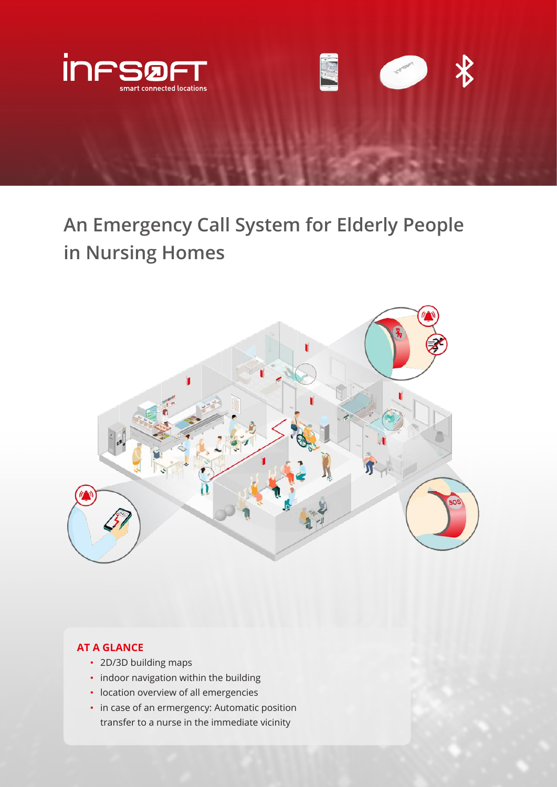

**An Emergency Call System for Elderly People in Nursing Homes**



# **AT A GLANCE**

- 2D/3D building maps
- indoor navigation within the building
- location overview of all emergencies
- in case of an ermergency: Automatic position transfer to a nurse in the immediate vicinity